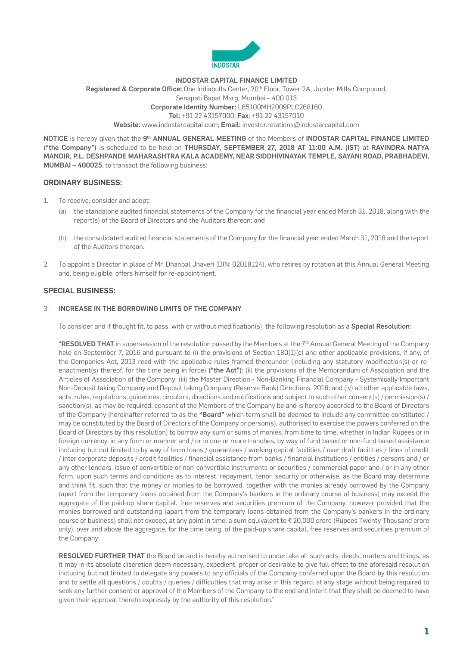

#### INDOSTAR CAPITAL FINANCE LIMITED

Registered & Corporate Office: One Indiabulls Center, 20<sup>th</sup> Floor, Tower 2A, Jupiter Mills Compound, Senapati Bapat Marg, Mumbai – 400 013 Corporate Identity Number: L65100MH2009PLC268160 Tel: +91 22 43157000; Fax: +91 22 43157010 Website: www.indostarcapital.com; Email: investor.relations@indostarcapital.com

NOTICE is hereby given that the 9<sup>th</sup> ANNUAL GENERAL MEETING of the Members of INDOSTAR CAPITAL FINANCE LIMITED ("the Company") is scheduled to be held on THURSDAY, SEPTEMBER 27, 2018 AT 11:00 A.M. (IST) at RAVINDRA NATYA MANDIR, P.L. DESHPANDE MAHARASHTRA KALA ACADEMY, NEAR SIDDHIVINAYAK TEMPLE, SAYANI ROAD, PRABHADEVI, MUMBAI – 400025, to transact the following business:

## ORDINARY BUSINESS:

- 1. To receive, consider and adopt:
	- (a) the standalone audited financial statements of the Company for the financial year ended March 31, 2018, along with the report(s) of the Board of Directors and the Auditors thereon; and
	- (b) the consolidated audited financial statements of the Company for the financial year ended March 31, 2018 and the report of the Auditors thereon.
- 2. To appoint a Director in place of Mr. Dhanpal Jhaveri (DIN: 02018124), who retires by rotation at this Annual General Meeting and, being eligible, offers himself for re-appointment.

## SPECIAL BUSINESS:

### 3. INCREASE IN THE BORROWING LIMITS OF THE COMPANY

To consider and if thought fit, to pass, with or without modification(s), the following resolution as a Special Resolution:

"RESOLVED THAT in supersession of the resolution passed by the Members at the 7<sup>th</sup> Annual General Meeting of the Company held on September 7, 2016 and pursuant to (i) the provisions of Section 180(1)(c) and other applicable provisions, if any, of the Companies Act, 2013 read with the applicable rules framed thereunder (including any statutory modification(s) or reenactment(s) thereof, for the time being in force) ("the Act"); (ii) the provisions of the Memorandum of Association and the Articles of Association of the Company; (iii) the Master Direction - Non-Banking Financial Company - Systemically Important Non-Deposit taking Company and Deposit taking Company (Reserve Bank) Directions, 2016; and (iv) all other applicable laws, acts, rules, regulations, guidelines, circulars, directions and notifications and subject to such other consent(s) / permission(s) / sanction(s), as may be required, consent of the Members of the Company be and is hereby accorded to the Board of Directors of the Company (hereinafter referred to as the "Board" which term shall be deemed to include any committee constituted / may be constituted by the Board of Directors of the Company or person(s), authorised to exercise the powers conferred on the Board of Directors by this resolution) to borrow any sum or sums of monies, from time to time, whether in Indian Rupees or in foreign currency, in any form or manner and / or in one or more tranches, by way of fund based or non-fund based assistance including but not limited to by way of term loans / guarantees / working capital facilities / over draft facilities / lines of credit / inter corporate deposits / credit facilities / financial assistance from banks / financial institutions / entities / persons and / or any other lenders, issue of convertible or non-convertible instruments or securities / commercial paper and / or in any other form, upon such terms and conditions as to interest, repayment, tenor, security or otherwise, as the Board may determine and think fit, such that the money or monies to be borrowed, together with the monies already borrowed by the Company (apart from the temporary loans obtained from the Company's bankers in the ordinary course of business) may exceed the aggregate of the paid-up share capital, free reserves and securities premium of the Company, however provided that the monies borrowed and outstanding (apart from the temporary loans obtained from the Company's bankers in the ordinary course of business) shall not exceed, at any point in time, a sum equivalent to  $\bar{z}$  20,000 crore (Rupees Twenty Thousand crore only), over and above the aggregate, for the time being, of the paid-up share capital, free reserves and securities premium of the Company;

RESOLVED FURTHER THAT the Board be and is hereby authorised to undertake all such acts, deeds, matters and things, as it may in its absolute discretion deem necessary, expedient, proper or desirable to give full effect to the aforesaid resolution including but not limited to delegate any powers to any officials of the Company conferred upon the Board by this resolution and to settle all questions / doubts / queries / difficulties that may arise in this regard, at any stage without being required to seek any further consent or approval of the Members of the Company to the end and intent that they shall be deemed to have given their approval thereto expressly by the authority of this resolution."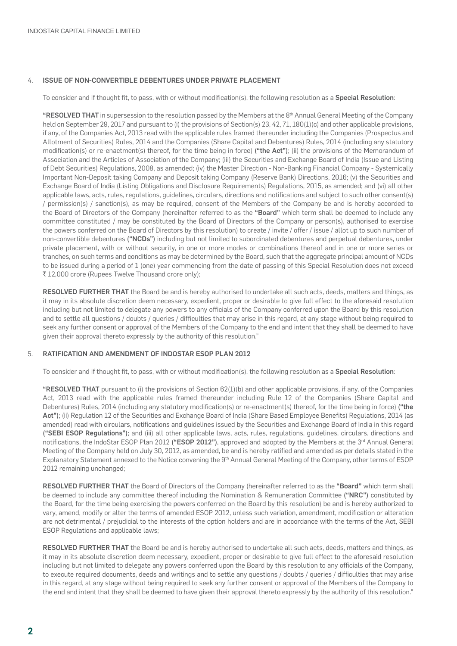#### 4. ISSUE OF NON-CONVERTIBLE DEBENTURES UNDER PRIVATE PLACEMENT

To consider and if thought fit, to pass, with or without modification(s), the following resolution as a **Special Resolution**:

"RESOLVED THAT in supersession to the resolution passed by the Members at the 8<sup>th</sup> Annual General Meeting of the Company held on September 29, 2017 and pursuant to (i) the provisions of Section(s) 23, 42, 71, 180(1)(c) and other applicable provisions, if any, of the Companies Act, 2013 read with the applicable rules framed thereunder including the Companies (Prospectus and Allotment of Securities) Rules, 2014 and the Companies (Share Capital and Debentures) Rules, 2014 (including any statutory modification(s) or re-enactment(s) thereof, for the time being in force) ("the Act"); (ii) the provisions of the Memorandum of Association and the Articles of Association of the Company; (iii) the Securities and Exchange Board of India (Issue and Listing of Debt Securities) Regulations, 2008, as amended; (iv) the Master Direction - Non-Banking Financial Company - Systemically Important Non-Deposit taking Company and Deposit taking Company (Reserve Bank) Directions, 2016; (v) the Securities and Exchange Board of India (Listing Obligations and Disclosure Requirements) Regulations, 2015, as amended; and (vi) all other applicable laws, acts, rules, regulations, guidelines, circulars, directions and notifications and subject to such other consent(s) / permission(s) / sanction(s), as may be required, consent of the Members of the Company be and is hereby accorded to the Board of Directors of the Company (hereinafter referred to as the "Board" which term shall be deemed to include any committee constituted / may be constituted by the Board of Directors of the Company or person(s), authorised to exercise the powers conferred on the Board of Directors by this resolution) to create / invite / offer / issue / allot up to such number of non-convertible debentures ("NCDs") including but not limited to subordinated debentures and perpetual debentures, under private placement, with or without security, in one or more modes or combinations thereof and in one or more series or tranches, on such terms and conditions as may be determined by the Board, such that the aggregate principal amount of NCDs to be issued during a period of 1 (one) year commencing from the date of passing of this Special Resolution does not exceed ₹12,000 crore (Rupees Twelve Thousand crore only);

RESOLVED FURTHER THAT the Board be and is hereby authorised to undertake all such acts, deeds, matters and things, as it may in its absolute discretion deem necessary, expedient, proper or desirable to give full effect to the aforesaid resolution including but not limited to delegate any powers to any officials of the Company conferred upon the Board by this resolution and to settle all questions / doubts / queries / difficulties that may arise in this regard, at any stage without being required to seek any further consent or approval of the Members of the Company to the end and intent that they shall be deemed to have given their approval thereto expressly by the authority of this resolution."

### 5. RATIFICATION AND AMENDMENT OF INDOSTAR ESOP PLAN 2012

To consider and if thought fit, to pass, with or without modification(s), the following resolution as a Special Resolution:

"RESOLVED THAT pursuant to (i) the provisions of Section 62(1)(b) and other applicable provisions, if any, of the Companies Act, 2013 read with the applicable rules framed thereunder including Rule 12 of the Companies (Share Capital and Debentures) Rules, 2014 (including any statutory modification(s) or re-enactment(s) thereof, for the time being in force) ("the Act"); (ii) Regulation 12 of the Securities and Exchange Board of India (Share Based Employee Benefits) Regulations, 2014 (as amended) read with circulars, notifications and guidelines issued by the Securities and Exchange Board of India in this regard ("SEBI ESOP Regulations"); and (iii) all other applicable laws, acts, rules, regulations, quidelines, circulars, directions and notifications, the IndoStar ESOP Plan 2012 ("ESOP 2012"), approved and adopted by the Members at the 3<sup>rd</sup> Annual General Meeting of the Company held on July 30, 2012, as amended, be and is hereby ratified and amended as per details stated in the Explanatory Statement annexed to the Notice convening the 9<sup>th</sup> Annual General Meeting of the Company, other terms of ESOP 2012 remaining unchanged;

RESOLVED FURTHER THAT the Board of Directors of the Company (hereinafter referred to as the "Board" which term shall be deemed to include any committee thereof including the Nomination & Remuneration Committee ("NRC") constituted by the Board, for the time being exercising the powers conferred on the Board by this resolution) be and is hereby authorized to vary, amend, modify or alter the terms of amended ESOP 2012, unless such variation, amendment, modification or alteration are not detrimental / prejudicial to the interests of the option holders and are in accordance with the terms of the Act, SEBI ESOP Regulations and applicable laws;

RESOLVED FURTHER THAT the Board be and is hereby authorised to undertake all such acts, deeds, matters and things, as it may in its absolute discretion deem necessary, expedient, proper or desirable to give full effect to the aforesaid resolution including but not limited to delegate any powers conferred upon the Board by this resolution to any officials of the Company, to execute required documents, deeds and writings and to settle any questions / doubts / queries / difficulties that may arise in this regard, at any stage without being required to seek any further consent or approval of the Members of the Company to the end and intent that they shall be deemed to have given their approval thereto expressly by the authority of this resolution."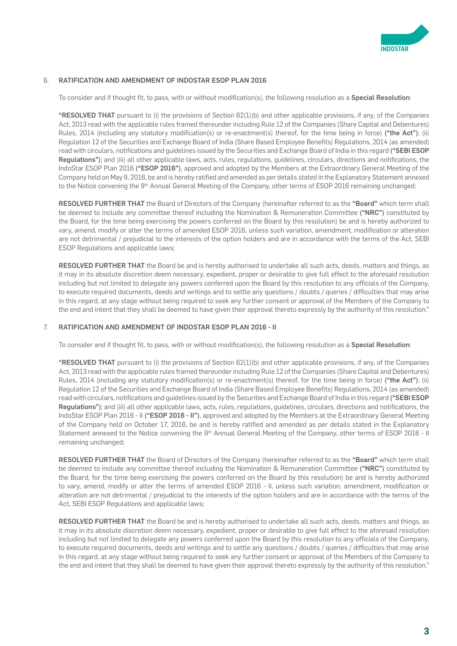

#### 6. RATIFICATION AND AMENDMENT OF INDOSTAR ESOP PLAN 2016

To consider and if thought fit, to pass, with or without modification(s), the following resolution as a Special Resolution:

"RESOLVED THAT pursuant to (i) the provisions of Section 62(1)(b) and other applicable provisions, if any, of the Companies Act, 2013 read with the applicable rules framed thereunder including Rule 12 of the Companies (Share Capital and Debentures) Rules, 2014 (including any statutory modification(s) or re-enactment(s) thereof, for the time being in force) ("the Act"); (ii) Regulation 12 of the Securities and Exchange Board of India (Share Based Employee Benefits) Regulations, 2014 (as amended) read with circulars, notifications and quidelines issued by the Securities and Exchange Board of India in this regard ("SEBI ESOP Regulations"); and (iii) all other applicable laws, acts, rules, regulations, guidelines, circulars, directions and notifications, the IndoStar ESOP Plan 2016 ("ESOP 2016"), approved and adopted by the Members at the Extraordinary General Meeting of the Company held on May 9, 2016, be and is hereby ratified and amended as per details stated in the Explanatory Statement annexed to the Notice convening the 9<sup>th</sup> Annual General Meeting of the Company, other terms of ESOP 2016 remaining unchanged;

RESOLVED FURTHER THAT the Board of Directors of the Company (hereinafter referred to as the "Board" which term shall be deemed to include any committee thereof including the Nomination & Remuneration Committee ("NRC") constituted by the Board, for the time being exercising the powers conferred on the Board by this resolution) be and is hereby authorized to vary, amend, modify or alter the terms of amended ESOP 2016, unless such variation, amendment, modification or alteration are not detrimental / prejudicial to the interests of the option holders and are in accordance with the terms of the Act, SEBI ESOP Regulations and applicable laws;

RESOLVED FURTHER THAT the Board be and is hereby authorised to undertake all such acts, deeds, matters and things, as it may in its absolute discretion deem necessary, expedient, proper or desirable to give full effect to the aforesaid resolution including but not limited to delegate any powers conferred upon the Board by this resolution to any officials of the Company, to execute required documents, deeds and writings and to settle any questions / doubts / queries / difficulties that may arise in this regard, at any stage without being required to seek any further consent or approval of the Members of the Company to the end and intent that they shall be deemed to have given their approval thereto expressly by the authority of this resolution."

#### 7. RATIFICATION AND AMENDMENT OF INDOSTAR ESOP PLAN 2016 - II

To consider and if thought fit, to pass, with or without modification(s), the following resolution as a Special Resolution:

"RESOLVED THAT pursuant to (i) the provisions of Section 62(1)(b) and other applicable provisions, if any, of the Companies Act, 2013 read with the applicable rules framed thereunder including Rule 12 of the Companies (Share Capital and Debentures) Rules, 2014 (including any statutory modification(s) or re-enactment(s) thereof, for the time being in force) ("the Act"); (ii) Regulation 12 of the Securities and Exchange Board of India (Share Based Employee Benefits) Regulations, 2014 (as amended) read with circulars, notifications and guidelines issued by the Securities and Exchange Board of India in this regard ("SEBI ESOP Regulations"); and (iii) all other applicable laws, acts, rules, regulations, guidelines, circulars, directions and notifications, the IndoStar ESOP Plan 2016 - II ("ESOP 2016 - II"), approved and adopted by the Members at the Extraordinary General Meeting of the Company held on October 17, 2016, be and is hereby ratified and amended as per details stated in the Explanatory Statement annexed to the Notice convening the 9<sup>th</sup> Annual General Meeting of the Company, other terms of ESOP 2016 - II remaining unchanged;

RESOLVED FURTHER THAT the Board of Directors of the Company (hereinafter referred to as the "Board" which term shall be deemed to include any committee thereof including the Nomination & Remuneration Committee ("NRC") constituted by the Board, for the time being exercising the powers conferred on the Board by this resolution) be and is hereby authorized to vary, amend, modify or alter the terms of amended ESOP 2016 - II, unless such variation, amendment, modification or alteration are not detrimental / prejudicial to the interests of the option holders and are in accordance with the terms of the Act, SEBI ESOP Regulations and applicable laws;

RESOLVED FURTHER THAT the Board be and is hereby authorised to undertake all such acts, deeds, matters and things, as it may in its absolute discretion deem necessary, expedient, proper or desirable to give full effect to the aforesaid resolution including but not limited to delegate any powers conferred upon the Board by this resolution to any officials of the Company, to execute required documents, deeds and writings and to settle any questions / doubts / queries / difficulties that may arise in this regard, at any stage without being required to seek any further consent or approval of the Members of the Company to the end and intent that they shall be deemed to have given their approval thereto expressly by the authority of this resolution."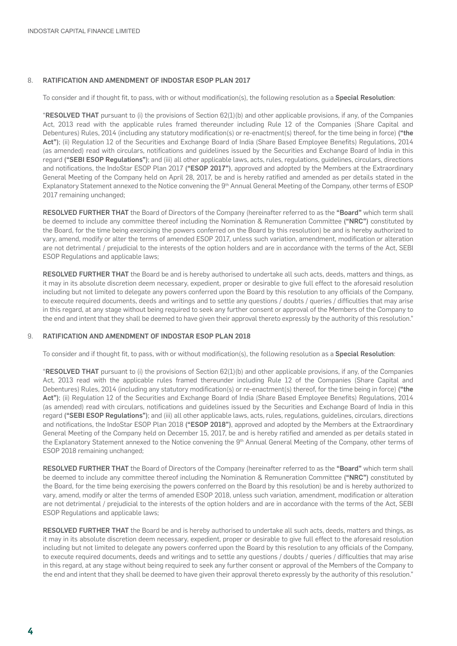#### 8. RATIFICATION AND AMENDMENT OF INDOSTAR ESOP PLAN 2017

To consider and if thought fit, to pass, with or without modification(s), the following resolution as a **Special Resolution**:

"RESOLVED THAT pursuant to (i) the provisions of Section 62(1)(b) and other applicable provisions, if any, of the Companies Act, 2013 read with the applicable rules framed thereunder including Rule 12 of the Companies (Share Capital and Debentures) Rules, 2014 (including any statutory modification(s) or re-enactment(s) thereof, for the time being in force) ("the Act"); (ii) Regulation 12 of the Securities and Exchange Board of India (Share Based Employee Benefits) Regulations, 2014 (as amended) read with circulars, notifications and guidelines issued by the Securities and Exchange Board of India in this regard ("SEBI ESOP Regulations"); and (iii) all other applicable laws, acts, rules, regulations, quidelines, circulars, directions and notifications, the IndoStar ESOP Plan 2017 ("ESOP 2017"), approved and adopted by the Members at the Extraordinary General Meeting of the Company held on April 28, 2017, be and is hereby ratified and amended as per details stated in the Explanatory Statement annexed to the Notice convening the 9th Annual General Meeting of the Company, other terms of ESOP 2017 remaining unchanged;

RESOLVED FURTHER THAT the Board of Directors of the Company (hereinafter referred to as the "Board" which term shall be deemed to include any committee thereof including the Nomination & Remuneration Committee ("NRC") constituted by the Board, for the time being exercising the powers conferred on the Board by this resolution) be and is hereby authorized to vary, amend, modify or alter the terms of amended ESOP 2017, unless such variation, amendment, modification or alteration are not detrimental / prejudicial to the interests of the option holders and are in accordance with the terms of the Act, SEBI ESOP Regulations and applicable laws;

RESOLVED FURTHER THAT the Board be and is hereby authorised to undertake all such acts, deeds, matters and things, as it may in its absolute discretion deem necessary, expedient, proper or desirable to give full effect to the aforesaid resolution including but not limited to delegate any powers conferred upon the Board by this resolution to any officials of the Company, to execute required documents, deeds and writings and to settle any questions / doubts / queries / difficulties that may arise in this regard, at any stage without being required to seek any further consent or approval of the Members of the Company to the end and intent that they shall be deemed to have given their approval thereto expressly by the authority of this resolution."

### 9. RATIFICATION AND AMENDMENT OF INDOSTAR ESOP PLAN 2018

To consider and if thought fit, to pass, with or without modification(s), the following resolution as a Special Resolution:

"RESOLVED THAT pursuant to (i) the provisions of Section 62(1)(b) and other applicable provisions, if any, of the Companies Act, 2013 read with the applicable rules framed thereunder including Rule 12 of the Companies (Share Capital and Debentures) Rules, 2014 (including any statutory modification(s) or re-enactment(s) thereof, for the time being in force) ("the Act"); (ii) Regulation 12 of the Securities and Exchange Board of India (Share Based Employee Benefits) Regulations, 2014 (as amended) read with circulars, notifications and guidelines issued by the Securities and Exchange Board of India in this regard ("SEBI ESOP Regulations"); and (iii) all other applicable laws, acts, rules, regulations, guidelines, circulars, directions and notifications, the IndoStar ESOP Plan 2018 ("ESOP 2018"), approved and adopted by the Members at the Extraordinary General Meeting of the Company held on December 15, 2017, be and is hereby ratified and amended as per details stated in the Explanatory Statement annexed to the Notice convening the 9<sup>th</sup> Annual General Meeting of the Company, other terms of ESOP 2018 remaining unchanged;

RESOLVED FURTHER THAT the Board of Directors of the Company (hereinafter referred to as the "Board" which term shall be deemed to include any committee thereof including the Nomination & Remuneration Committee ("NRC") constituted by the Board, for the time being exercising the powers conferred on the Board by this resolution) be and is hereby authorized to vary, amend, modify or alter the terms of amended ESOP 2018, unless such variation, amendment, modification or alteration are not detrimental / prejudicial to the interests of the option holders and are in accordance with the terms of the Act, SEBI ESOP Regulations and applicable laws;

RESOLVED FURTHER THAT the Board be and is hereby authorised to undertake all such acts, deeds, matters and things, as it may in its absolute discretion deem necessary, expedient, proper or desirable to give full effect to the aforesaid resolution including but not limited to delegate any powers conferred upon the Board by this resolution to any officials of the Company, to execute required documents, deeds and writings and to settle any questions / doubts / queries / difficulties that may arise in this regard, at any stage without being required to seek any further consent or approval of the Members of the Company to the end and intent that they shall be deemed to have given their approval thereto expressly by the authority of this resolution."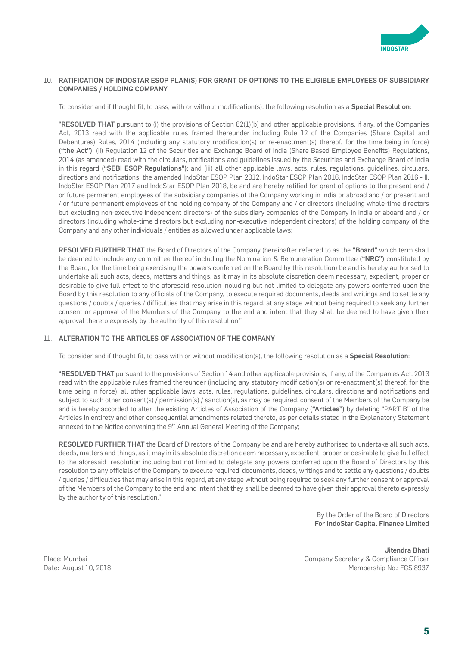

### 10. RATIFICATION OF INDOSTAR ESOP PLAN(S) FOR GRANT OF OPTIONS TO THE ELIGIBLE EMPLOYEES OF SUBSIDIARY COMPANIES / HOLDING COMPANY

To consider and if thought fit, to pass, with or without modification(s), the following resolution as a Special Resolution:

"RESOLVED THAT pursuant to (i) the provisions of Section 62(1)(b) and other applicable provisions, if any, of the Companies Act, 2013 read with the applicable rules framed thereunder including Rule 12 of the Companies (Share Capital and Debentures) Rules, 2014 (including any statutory modification(s) or re-enactment(s) thereof, for the time being in force) ("the Act"); (ii) Regulation 12 of the Securities and Exchange Board of India (Share Based Employee Benefits) Regulations, 2014 (as amended) read with the circulars, notifications and guidelines issued by the Securities and Exchange Board of India in this regard ("SEBI ESOP Regulations"); and (iii) all other applicable laws, acts, rules, regulations, guidelines, circulars, directions and notifications, the amended IndoStar ESOP Plan 2012, IndoStar ESOP Plan 2016, IndoStar ESOP Plan 2016 - II, IndoStar ESOP Plan 2017 and IndoStar ESOP Plan 2018, be and are hereby ratified for grant of options to the present and / or future permanent employees of the subsidiary companies of the Company working in India or abroad and / or present and / or future permanent employees of the holding company of the Company and / or directors (including whole-time directors but excluding non-executive independent directors) of the subsidiary companies of the Company in India or aboard and / or directors (including whole-time directors but excluding non-executive independent directors) of the holding company of the Company and any other individuals / entities as allowed under applicable laws;

RESOLVED FURTHER THAT the Board of Directors of the Company (hereinafter referred to as the "Board" which term shall be deemed to include any committee thereof including the Nomination & Remuneration Committee ("NRC") constituted by the Board, for the time being exercising the powers conferred on the Board by this resolution) be and is hereby authorised to undertake all such acts, deeds, matters and things, as it may in its absolute discretion deem necessary, expedient, proper or desirable to give full effect to the aforesaid resolution including but not limited to delegate any powers conferred upon the Board by this resolution to any officials of the Company, to execute required documents, deeds and writings and to settle any questions / doubts / queries / difficulties that may arise in this regard, at any stage without being required to seek any further consent or approval of the Members of the Company to the end and intent that they shall be deemed to have given their approval thereto expressly by the authority of this resolution."

### 11. ALTERATION TO THE ARTICLES OF ASSOCIATION OF THE COMPANY

To consider and if thought fit, to pass with or without modification(s), the following resolution as a Special Resolution:

"RESOLVED THAT pursuant to the provisions of Section 14 and other applicable provisions, if any, of the Companies Act, 2013 read with the applicable rules framed thereunder (including any statutory modification(s) or re-enactment(s) thereof, for the time being in force), all other applicable laws, acts, rules, regulations, guidelines, circulars, directions and notifications and subject to such other consent(s) / permission(s) / sanction(s), as may be required, consent of the Members of the Company be and is hereby accorded to alter the existing Articles of Association of the Company ("Articles") by deleting "PART B" of the Articles in entirety and other consequential amendments related thereto, as per details stated in the Explanatory Statement annexed to the Notice convening the 9<sup>th</sup> Annual General Meeting of the Company;

RESOLVED FURTHER THAT the Board of Directors of the Company be and are hereby authorised to undertake all such acts, deeds, matters and things, as it may in its absolute discretion deem necessary, expedient, proper or desirable to give full effect to the aforesaid resolution including but not limited to delegate any powers conferred upon the Board of Directors by this resolution to any officials of the Company to execute required documents, deeds, writings and to settle any questions / doubts / queries / difficulties that may arise in this regard, at any stage without being required to seek any further consent or approval of the Members of the Company to the end and intent that they shall be deemed to have given their approval thereto expressly by the authority of this resolution."

> By the Order of the Board of Directors For IndoStar Capital Finance Limited

Jitendra Bhati Place: Mumbai Company Secretary & Compliance Officer Date: August 10, 2018 Membership No.: FCS 8937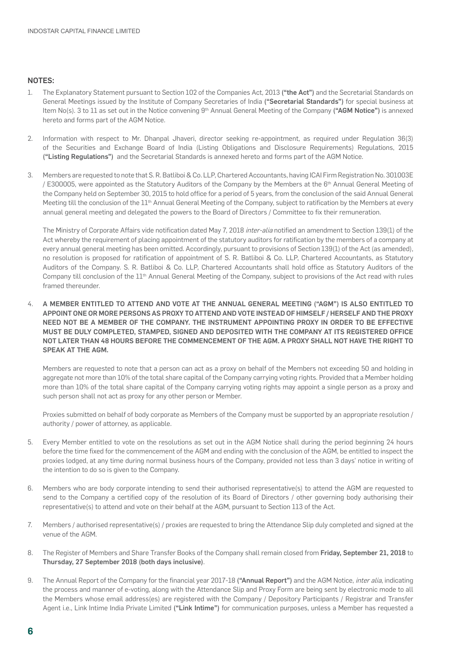## NOTES:

- 1. The Explanatory Statement pursuant to Section 102 of the Companies Act, 2013 ("the Act") and the Secretarial Standards on General Meetings issued by the Institute of Company Secretaries of India ("Secretarial Standards") for special business at Item No(s). 3 to 11 as set out in the Notice convening 9<sup>th</sup> Annual General Meeting of the Company ("AGM Notice") is annexed hereto and forms part of the AGM Notice.
- 2. Information with respect to Mr. Dhanpal Jhaveri, director seeking re-appointment, as required under Regulation 36(3) of the Securities and Exchange Board of India (Listing Obligations and Disclosure Requirements) Regulations, 2015 ("Listing Regulations") and the Secretarial Standards is annexed hereto and forms part of the AGM Notice.
- 3. Members are requested to note that S. R. Batliboi & Co. LLP, Chartered Accountants, having ICAI Firm Registration No. 301003E / E300005, were appointed as the Statutory Auditors of the Company by the Members at the 6th Annual General Meeting of the Company held on September 30, 2015 to hold office for a period of 5 years, from the conclusion of the said Annual General Meeting till the conclusion of the 11<sup>th</sup> Annual General Meeting of the Company, subject to ratification by the Members at every annual general meeting and delegated the powers to the Board of Directors / Committee to fix their remuneration.

The Ministry of Corporate Affairs vide notification dated May 7, 2018 inter-alia notified an amendment to Section 139(1) of the Act whereby the requirement of placing appointment of the statutory auditors for ratification by the members of a company at every annual general meeting has been omitted. Accordingly, pursuant to provisions of Section 139(1) of the Act (as amended), no resolution is proposed for ratification of appointment of S. R. Batliboi & Co. LLP, Chartered Accountants, as Statutory Auditors of the Company. S. R. Batliboi & Co. LLP, Chartered Accountants shall hold office as Statutory Auditors of the Company till conclusion of the 11<sup>th</sup> Annual General Meeting of the Company, subject to provisions of the Act read with rules framed thereunder.

4. A MEMBER ENTITLED TO ATTEND AND VOTE AT THE ANNUAL GENERAL MEETING ("AGM") IS ALSO ENTITLED TO APPOINT ONE OR MORE PERSONS AS PROXY TO ATTEND AND VOTE INSTEAD OF HIMSELF / HERSELF AND THE PROXY NEED NOT BE A MEMBER OF THE COMPANY. THE INSTRUMENT APPOINTING PROXY IN ORDER TO BE EFFECTIVE MUST BE DULY COMPLETED, STAMPED, SIGNED AND DEPOSITED WITH THE COMPANY AT ITS REGISTERED OFFICE NOT LATER THAN 48 HOURS BEFORE THE COMMENCEMENT OF THE AGM. A PROXY SHALL NOT HAVE THE RIGHT TO SPEAK AT THE AGM.

Members are requested to note that a person can act as a proxy on behalf of the Members not exceeding 50 and holding in aggregate not more than 10% of the total share capital of the Company carrying voting rights. Provided that a Member holding more than 10% of the total share capital of the Company carrying voting rights may appoint a single person as a proxy and such person shall not act as proxy for any other person or Member.

Proxies submitted on behalf of body corporate as Members of the Company must be supported by an appropriate resolution / authority / power of attorney, as applicable.

- 5. Every Member entitled to vote on the resolutions as set out in the AGM Notice shall during the period beginning 24 hours before the time fixed for the commencement of the AGM and ending with the conclusion of the AGM, be entitled to inspect the proxies lodged, at any time during normal business hours of the Company, provided not less than 3 days' notice in writing of the intention to do so is given to the Company.
- 6. Members who are body corporate intending to send their authorised representative(s) to attend the AGM are requested to send to the Company a certified copy of the resolution of its Board of Directors / other governing body authorising their representative(s) to attend and vote on their behalf at the AGM, pursuant to Section 113 of the Act.
- 7. Members / authorised representative(s) / proxies are requested to bring the Attendance Slip duly completed and signed at the venue of the AGM.
- 8. The Register of Members and Share Transfer Books of the Company shall remain closed from Friday, September 21, 2018 to Thursday, 27 September 2018 (both days inclusive).
- 9. The Annual Report of the Company for the financial year 2017-18 ("Annual Report") and the AGM Notice, *inter alia*, indicating the process and manner of e-voting, along with the Attendance Slip and Proxy Form are being sent by electronic mode to all the Members whose email address(es) are registered with the Company / Depository Participants / Registrar and Transfer Agent i.e., Link Intime India Private Limited ("Link Intime") for communication purposes, unless a Member has requested a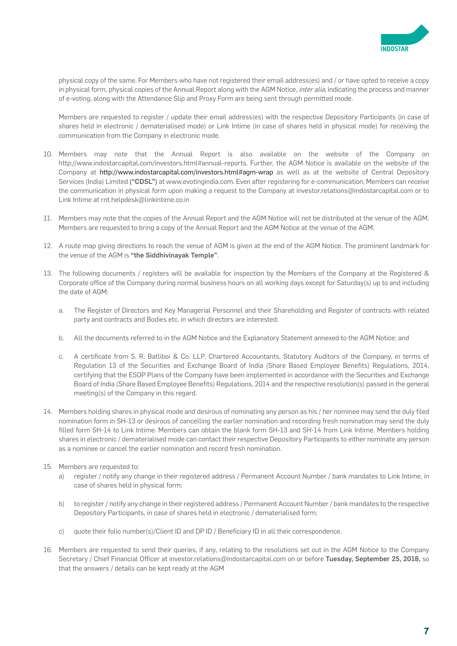

physical copy of the same. For Members who have not registered their email address(es) and / or have opted to receive a copy in physical form, physical copies of the Annual Report along with the AGM Notice, *inter alia*, indicating the process and manner of e-voting, along with the Attendance Slip and Proxy Form are being sent through permitted mode.

Members are requested to register / update their email address(es) with the respective Depository Participants (in case of shares held in electronic / dematerialised mode) or Link Intime (in case of shares held in physical mode) for receiving the communication from the Company in electronic mode.

- 10. Members may note that the Annual Report is also available on the website of the Company on http://www.indostarcapital.com/investors.html#annual-reports. Further, the AGM Notice is available on the website of the Company at http://www.indostarcapital.com/investors.html#agm-wrap as well as at the website of Central Depository Services (India) Limited ("CDSL") at www.evotingindia.com. Even after registering for e-communication, Members can receive the communication in physical form upon making a request to the Company at investor.relations@indostarcapital.com or to Link Intime at rnt.helpdesk@linkintime.co.in
- 11. Members may note that the copies of the Annual Report and the AGM Notice will not be distributed at the venue of the AGM. Members are requested to bring a copy of the Annual Report and the AGM Notice at the venue of the AGM.
- 12. A route map giving directions to reach the venue of AGM is given at the end of the AGM Notice. The prominent landmark for the venue of the AGM is "the Siddhivinayak Temple".
- 13. The following documents / registers will be available for inspection by the Members of the Company at the Registered & Corporate office of the Company during normal business hours on all working days except for Saturday(s) up to and including the date of AGM:
	- a. The Register of Directors and Key Managerial Personnel and their Shareholding and Register of contracts with related party and contracts and Bodies etc. in which directors are interested;
	- b. All the documents referred to in the AGM Notice and the Explanatory Statement annexed to the AGM Notice; and
	- c. A certificate from S. R. Batliboi & Co. LLP, Chartered Accountants, Statutory Auditors of the Company, in terms of Regulation 13 of the Securities and Exchange Board of India (Share Based Employee Benefits) Regulations, 2014, certifying that the ESOP Plans of the Company have been implemented in accordance with the Securities and Exchange Board of India (Share Based Employee Benefits) Regulations, 2014 and the respective resolution(s) passed in the general meeting(s) of the Company in this regard.
- 14. Members holding shares in physical mode and desirous of nominating any person as his / her nominee may send the duly filed nomination form in SH-13 or desirous of cancelling the earlier nomination and recording fresh nomination may send the duly filled form SH-14 to Link Intime. Members can obtain the blank form SH-13 and SH-14 from Link Intime. Members holding shares in electronic / dematerialised mode can contact their respective Depository Participants to either nominate any person as a nominee or cancel the earlier nomination and record fresh nomination.
- 15. Members are requested to:
	- a) register / notify any change in their registered address / Permanent Account Number / bank mandates to Link Intime, in case of shares held in physical form;
	- b) to register / notify any change in their registered address / Permanent Account Number / bank mandates to the respective Depository Participants, in case of shares held in electronic / dematerialised form;
	- c) quote their folio number(s)/Client ID and DP ID / Beneficiary ID in all their correspondence.
- 16. Members are requested to send their queries, if any, relating to the resolutions set out in the AGM Notice to the Company Secretary / Chief Financial Officer at investor.relations@indostarcapital.com on or before Tuesday, September 25, 2018, so that the answers / details can be kept ready at the AGM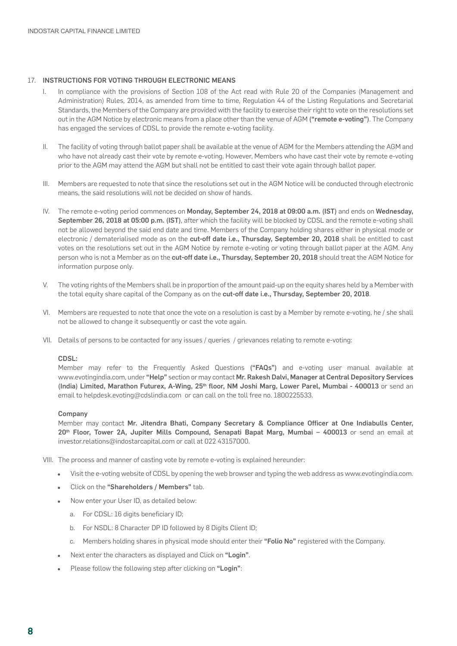### 17. INSTRUCTIONS FOR VOTING THROUGH ELECTRONIC MEANS

- I. In compliance with the provisions of Section 108 of the Act read with Rule 20 of the Companies (Management and Administration) Rules, 2014, as amended from time to time, Regulation 44 of the Listing Regulations and Secretarial Standards, the Members of the Company are provided with the facility to exercise their right to vote on the resolutions set out in the AGM Notice by electronic means from a place other than the venue of AGM ("remote e-voting"). The Company has engaged the services of CDSL to provide the remote e-voting facility.
- II. The facility of voting through ballot paper shall be available at the venue of AGM for the Members attending the AGM and who have not already cast their vote by remote e-voting. However, Members who have cast their vote by remote e-voting prior to the AGM may attend the AGM but shall not be entitled to cast their vote again through ballot paper.
- III. Members are requested to note that since the resolutions set out in the AGM Notice will be conducted through electronic means, the said resolutions will not be decided on show of hands.
- IV. The remote e-voting period commences on Monday, September 24, 2018 at 09:00 a.m. (IST) and ends on Wednesday, September 26, 2018 at 05:00 p.m. (IST), after which the facility will be blocked by CDSL and the remote e-voting shall not be allowed beyond the said end date and time. Members of the Company holding shares either in physical mode or electronic / dematerialised mode as on the cut-off date i.e., Thursday, September 20, 2018 shall be entitled to cast votes on the resolutions set out in the AGM Notice by remote e-voting or voting through ballot paper at the AGM. Any person who is not a Member as on the cut-off date i.e., Thursday, September 20, 2018 should treat the AGM Notice for information purpose only.
- V. The voting rights of the Members shall be in proportion of the amount paid-up on the equity shares held by a Member with the total equity share capital of the Company as on the cut-off date i.e., Thursday, September 20, 2018.
- VI. Members are requested to note that once the vote on a resolution is cast by a Member by remote e-voting, he / she shall not be allowed to change it subsequently or cast the vote again.
- VII. Details of persons to be contacted for any issues / queries / grievances relating to remote e-voting:

#### CDSL:

 Member may refer to the Frequently Asked Questions ("FAQs") and e-voting user manual available at www.evotingindia.com, under "Help" section or may contact Mr. Rakesh Dalvi, Manager at Central Depository Services (India) Limited, Marathon Futurex, A-Wing, 25<sup>th</sup> floor, NM Joshi Marg, Lower Parel, Mumbai - 400013 or send an email to helpdesk.evoting@cdslindia.com or can call on the toll free no. 1800225533.

#### Company

 Member may contact Mr. Jitendra Bhati, Company Secretary & Compliance Officer at One Indiabulls Center, 20<sup>th</sup> Floor, Tower 2A, Jupiter Mills Compound, Senapati Bapat Marg, Mumbai - 400013 or send an email at investor.relations@indostarcapital.com or call at 022 43157000.

VIII. The process and manner of casting vote by remote e-voting is explained hereunder:

- Visit the e-voting website of CDSL by opening the web browser and typing the web address as www.evotingindia.com.
- Click on the "Shareholders / Members" tab.
- Now enter your User ID, as detailed below:
	- a. For CDSL: 16 digits beneficiary ID;
	- b. For NSDL: 8 Character DP ID followed by 8 Digits Client ID;
	- c. Members holding shares in physical mode should enter their "Folio No" registered with the Company.
- Next enter the characters as displayed and Click on "Login".
- Please follow the following step after clicking on "Login":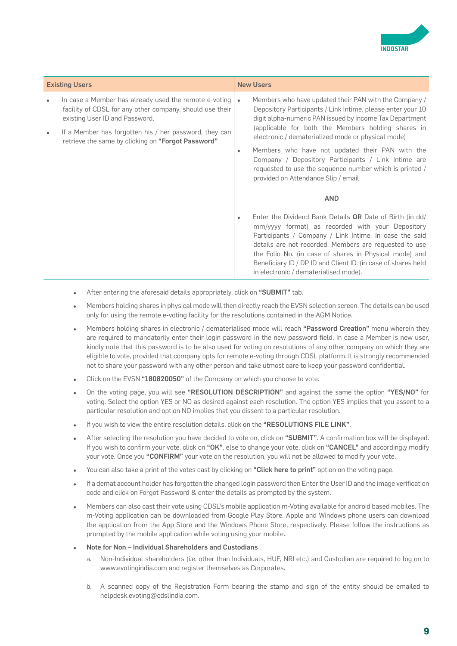

| <b>Existing Users</b> |                                                                                                                                                     | <b>New Users</b> |                                                                                                                                                                                                                                                                                                                                                                                                      |  |
|-----------------------|-----------------------------------------------------------------------------------------------------------------------------------------------------|------------------|------------------------------------------------------------------------------------------------------------------------------------------------------------------------------------------------------------------------------------------------------------------------------------------------------------------------------------------------------------------------------------------------------|--|
|                       | In case a Member has already used the remote e-voting<br>facility of CDSL for any other company, should use their<br>existing User ID and Password. | $\bullet$        | Members who have updated their PAN with the Company /<br>Depository Participants / Link Intime, please enter your 10<br>digit alpha-numeric PAN issued by Income Tax Department                                                                                                                                                                                                                      |  |
|                       | If a Member has forgotten his / her password, they can<br>retrieve the same by clicking on "Forgot Password"                                        |                  | (applicable for both the Members holding shares in<br>electronic / dematerialized mode or physical mode)                                                                                                                                                                                                                                                                                             |  |
|                       |                                                                                                                                                     | ٠                | Members who have not updated their PAN with the<br>Company / Depository Participants / Link Intime are<br>requested to use the sequence number which is printed /<br>provided on Attendance Slip / email.                                                                                                                                                                                            |  |
|                       |                                                                                                                                                     |                  | <b>AND</b>                                                                                                                                                                                                                                                                                                                                                                                           |  |
|                       |                                                                                                                                                     | ٠                | Enter the Dividend Bank Details OR Date of Birth (in dd/<br>mm/yyyy format) as recorded with your Depository<br>Participants / Company / Link Intime. In case the said<br>details are not recorded, Members are requested to use<br>the Folio No. (in case of shares in Physical mode) and<br>Beneficiary ID / DP ID and Client ID. (in case of shares held<br>in electronic / dematerialised mode). |  |

- After entering the aforesaid details appropriately, click on "SUBMIT" tab.
- Members holding shares in physical mode will then directly reach the EVSN selection screen. The details can be used only for using the remote e-voting facility for the resolutions contained in the AGM Notice.
- Members holding shares in electronic / dematerialised mode will reach "Password Creation" menu wherein they are required to mandatorily enter their login password in the new password field. In case a Member is new user, kindly note that this password is to be also used for voting on resolutions of any other company on which they are eligible to vote, provided that company opts for remote e-voting through CDSL platform. It is strongly recommended not to share your password with any other person and take utmost care to keep your password confidential.
- Click on the EVSN "180820050" of the Company on which you choose to vote.
- On the voting page, you will see "RESOLUTION DESCRIPTION" and against the same the option "YES/NO" for voting. Select the option YES or NO as desired against each resolution. The option YES implies that you assent to a particular resolution and option NO implies that you dissent to a particular resolution.
- If you wish to view the entire resolution details, click on the "RESOLUTIONS FILE LINK".
- After selecting the resolution you have decided to vote on, click on "SUBMIT". A confirmation box will be displayed. If you wish to confirm your vote, click on "OK", else to change your vote, click on "CANCEL" and accordingly modify your vote. Once you "CONFIRM" your vote on the resolution, you will not be allowed to modify your vote.
- You can also take a print of the votes cast by clicking on "Click here to print" option on the voting page.
- If a demat account holder has forgotten the changed login password then Enter the User ID and the image verification code and click on Forgot Password & enter the details as prompted by the system.
- Members can also cast their vote using CDSL's mobile application m-Voting available for android based mobiles. The m-Voting application can be downloaded from Google Play Store. Apple and Windows phone users can download the application from the App Store and the Windows Phone Store, respectively. Please follow the instructions as prompted by the mobile application while voting using your mobile.
- Note for Non Individual Shareholders and Custodians
	- a. Non-Individual shareholders (i.e. other than Individuals, HUF, NRI etc.) and Custodian are required to log on to www.evotingindia.com and register themselves as Corporates.
	- b. A scanned copy of the Registration Form bearing the stamp and sign of the entity should be emailed to helpdesk.evoting@cdslindia.com.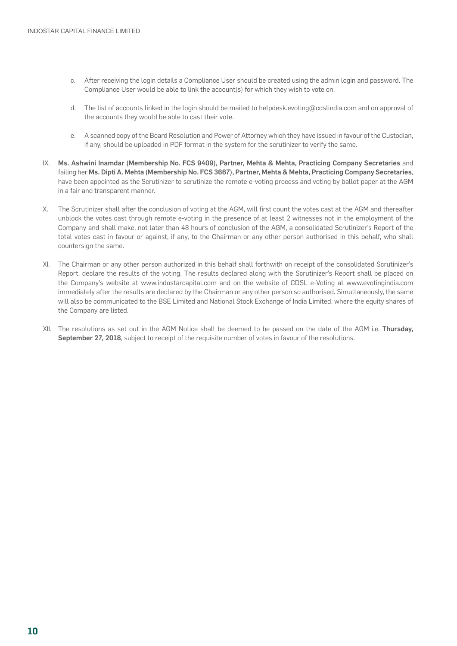- c. After receiving the login details a Compliance User should be created using the admin login and password. The Compliance User would be able to link the account(s) for which they wish to vote on.
- d. The list of accounts linked in the login should be mailed to helpdesk.evoting@cdslindia.com and on approval of the accounts they would be able to cast their vote.
- e. A scanned copy of the Board Resolution and Power of Attorney which they have issued in favour of the Custodian, if any, should be uploaded in PDF format in the system for the scrutinizer to verify the same.
- IX. Ms. Ashwini Inamdar (Membership No. FCS 9409), Partner, Mehta & Mehta, Practicing Company Secretaries and failing her Ms. Dipti A. Mehta (Membership No. FCS 3667), Partner, Mehta & Mehta, Practicing Company Secretaries, have been appointed as the Scrutinizer to scrutinize the remote e-voting process and voting by ballot paper at the AGM in a fair and transparent manner.
- X. The Scrutinizer shall after the conclusion of voting at the AGM, will first count the votes cast at the AGM and thereafter unblock the votes cast through remote e-voting in the presence of at least 2 witnesses not in the employment of the Company and shall make, not later than 48 hours of conclusion of the AGM, a consolidated Scrutinizer's Report of the total votes cast in favour or against, if any, to the Chairman or any other person authorised in this behalf, who shall countersign the same.
- XI. The Chairman or any other person authorized in this behalf shall forthwith on receipt of the consolidated Scrutinizer's Report, declare the results of the voting. The results declared along with the Scrutinizer's Report shall be placed on the Company's website at www.indostarcapital.com and on the website of CDSL e-Voting at www.evotingindia.com immediately after the results are declared by the Chairman or any other person so authorised. Simultaneously, the same will also be communicated to the BSE Limited and National Stock Exchange of India Limited, where the equity shares of the Company are listed.
- XII. The resolutions as set out in the AGM Notice shall be deemed to be passed on the date of the AGM i.e. Thursday, September 27, 2018, subject to receipt of the requisite number of votes in favour of the resolutions.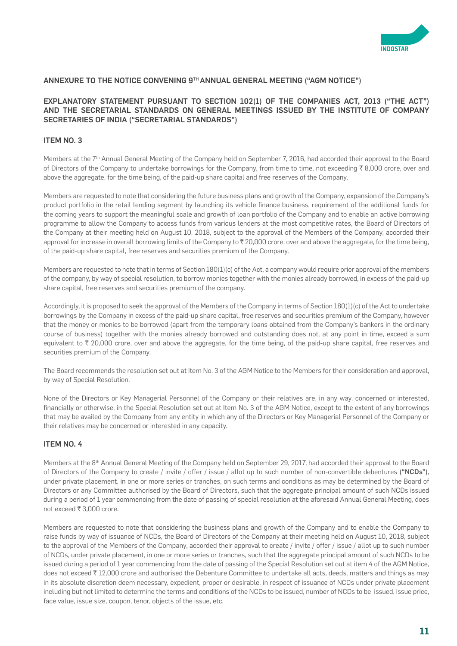

## ANNEXURE TO THE NOTICE CONVENING 9TH ANNUAL GENERAL MEETING ("AGM NOTICE")

## EXPLANATORY STATEMENT PURSUANT TO SECTION 102(1) OF THE COMPANIES ACT, 2013 ("THE ACT") AND THE SECRETARIAL STANDARDS ON GENERAL MEETINGS ISSUED BY THE INSTITUTE OF COMPANY SECRETARIES OF INDIA ("SECRETARIAL STANDARDS")

## ITEM NO. 3

Members at the 7<sup>th</sup> Annual General Meeting of the Company held on September 7, 2016, had accorded their approval to the Board of Directors of the Company to undertake borrowings for the Company, from time to time, not exceeding  $\bar{\tau}$  8,000 crore, over and above the aggregate, for the time being, of the paid-up share capital and free reserves of the Company.

Members are requested to note that considering the future business plans and growth of the Company, expansion of the Company's product portfolio in the retail lending segment by launching its vehicle finance business, requirement of the additional funds for the coming years to support the meaningful scale and growth of loan portfolio of the Company and to enable an active borrowing programme to allow the Company to access funds from various lenders at the most competitive rates, the Board of Directors of the Company at their meeting held on August 10, 2018, subject to the approval of the Members of the Company, accorded their approval for increase in overall borrowing limits of the Company to ₹20,000 crore, over and above the aggregate, for the time being, of the paid-up share capital, free reserves and securities premium of the Company.

Members are requested to note that in terms of Section 180(1)(c) of the Act, a company would require prior approval of the members of the company, by way of special resolution, to borrow monies together with the monies already borrowed, in excess of the paid-up share capital, free reserves and securities premium of the company.

Accordingly, it is proposed to seek the approval of the Members of the Company in terms of Section 180(1)(c) of the Act to undertake borrowings by the Company in excess of the paid-up share capital, free reserves and securities premium of the Company, however that the money or monies to be borrowed (apart from the temporary loans obtained from the Company's bankers in the ordinary course of business) together with the monies already borrowed and outstanding does not, at any point in time, exceed a sum equivalent to  $\bar{\tau}$  20,000 crore, over and above the aggregate, for the time being, of the paid-up share capital, free reserves and securities premium of the Company.

The Board recommends the resolution set out at Item No. 3 of the AGM Notice to the Members for their consideration and approval, by way of Special Resolution.

None of the Directors or Key Managerial Personnel of the Company or their relatives are, in any way, concerned or interested, financially or otherwise, in the Special Resolution set out at Item No. 3 of the AGM Notice, except to the extent of any borrowings that may be availed by the Company from any entity in which any of the Directors or Key Managerial Personnel of the Company or their relatives may be concerned or interested in any capacity.

### ITEM NO. 4

Members at the 8<sup>th</sup> Annual General Meeting of the Company held on September 29, 2017, had accorded their approval to the Board of Directors of the Company to create / invite / offer / issue / allot up to such number of non-convertible debentures ("NCDs"), under private placement, in one or more series or tranches, on such terms and conditions as may be determined by the Board of Directors or any Committee authorised by the Board of Directors, such that the aggregate principal amount of such NCDs issued during a period of 1 year commencing from the date of passing of special resolution at the aforesaid Annual General Meeting, does not exceed ₹ 3,000 crore.

Members are requested to note that considering the business plans and growth of the Company and to enable the Company to raise funds by way of issuance of NCDs, the Board of Directors of the Company at their meeting held on August 10, 2018, subject to the approval of the Members of the Company, accorded their approval to create / invite / offer / issue / allot up to such number of NCDs, under private placement, in one or more series or tranches, such that the aggregate principal amount of such NCDs to be issued during a period of 1 year commencing from the date of passing of the Special Resolution set out at item 4 of the AGM Notice, does not exceed  $\bar{\tau}$  12,000 crore and authorised the Debenture Committee to undertake all acts, deeds, matters and things as may in its absolute discretion deem necessary, expedient, proper or desirable, in respect of issuance of NCDs under private placement including but not limited to determine the terms and conditions of the NCDs to be issued, number of NCDs to be issued, issue price, face value, issue size, coupon, tenor, objects of the issue, etc.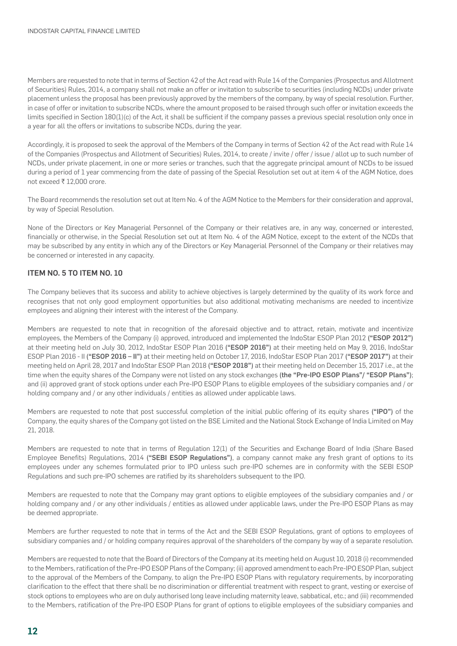Members are requested to note that in terms of Section 42 of the Act read with Rule 14 of the Companies (Prospectus and Allotment of Securities) Rules, 2014, a company shall not make an offer or invitation to subscribe to securities (including NCDs) under private placement unless the proposal has been previously approved by the members of the company, by way of special resolution. Further, in case of offer or invitation to subscribe NCDs, where the amount proposed to be raised through such offer or invitation exceeds the limits specified in Section 180(1)(c) of the Act, it shall be sufficient if the company passes a previous special resolution only once in a year for all the offers or invitations to subscribe NCDs, during the year.

Accordingly, it is proposed to seek the approval of the Members of the Company in terms of Section 42 of the Act read with Rule 14 of the Companies (Prospectus and Allotment of Securities) Rules, 2014, to create / invite / offer / issue / allot up to such number of NCDs, under private placement, in one or more series or tranches, such that the aggregate principal amount of NCDs to be issued during a period of 1 year commencing from the date of passing of the Special Resolution set out at item 4 of the AGM Notice, does not exceed ₹ 12,000 crore.

The Board recommends the resolution set out at Item No. 4 of the AGM Notice to the Members for their consideration and approval, by way of Special Resolution.

None of the Directors or Key Managerial Personnel of the Company or their relatives are, in any way, concerned or interested, financially or otherwise, in the Special Resolution set out at Item No. 4 of the AGM Notice, except to the extent of the NCDs that may be subscribed by any entity in which any of the Directors or Key Managerial Personnel of the Company or their relatives may be concerned or interested in any capacity.

## ITEM NO. 5 TO ITEM NO. 10

The Company believes that its success and ability to achieve objectives is largely determined by the quality of its work force and recognises that not only good employment opportunities but also additional motivating mechanisms are needed to incentivize employees and aligning their interest with the interest of the Company.

Members are requested to note that in recognition of the aforesaid objective and to attract, retain, motivate and incentivize employees, the Members of the Company (i) approved, introduced and implemented the IndoStar ESOP Plan 2012 ("ESOP 2012") at their meeting held on July 30, 2012, IndoStar ESOP Plan 2016 ("ESOP 2016") at their meeting held on May 9, 2016, IndoStar ESOP Plan 2016 - II ("ESOP 2016 – II") at their meeting held on October 17, 2016, IndoStar ESOP Plan 2017 ("ESOP 2017") at their meeting held on April 28, 2017 and IndoStar ESOP Plan 2018 ("ESOP 2018") at their meeting held on December 15, 2017 i.e., at the time when the equity shares of the Company were not listed on any stock exchanges (the "Pre-IPO ESOP Plans"/ "ESOP Plans"); and (ii) approved grant of stock options under each Pre-IPO ESOP Plans to eligible employees of the subsidiary companies and / or holding company and / or any other individuals / entities as allowed under applicable laws.

Members are requested to note that post successful completion of the initial public offering of its equity shares ("IPO") of the Company, the equity shares of the Company got listed on the BSE Limited and the National Stock Exchange of India Limited on May 21, 2018.

Members are requested to note that in terms of Regulation 12(1) of the Securities and Exchange Board of India (Share Based Employee Benefits) Regulations, 2014 ("SEBI ESOP Regulations"), a company cannot make any fresh grant of options to its employees under any schemes formulated prior to IPO unless such pre-IPO schemes are in conformity with the SEBI ESOP Regulations and such pre-IPO schemes are ratified by its shareholders subsequent to the IPO.

Members are requested to note that the Company may grant options to eligible employees of the subsidiary companies and / or holding company and / or any other individuals / entities as allowed under applicable laws, under the Pre-IPO ESOP Plans as may be deemed appropriate.

Members are further requested to note that in terms of the Act and the SEBI ESOP Regulations, grant of options to employees of subsidiary companies and / or holding company requires approval of the shareholders of the company by way of a separate resolution.

Members are requested to note that the Board of Directors of the Company at its meeting held on August 10, 2018 (i) recommended to the Members, ratification of the Pre-IPO ESOP Plans of the Company; (ii) approved amendment to each Pre-IPO ESOP Plan, subject to the approval of the Members of the Company, to align the Pre-IPO ESOP Plans with regulatory requirements, by incorporating clarification to the effect that there shall be no discrimination or differential treatment with respect to grant, vesting or exercise of stock options to employees who are on duly authorised long leave including maternity leave, sabbatical, etc.; and (iii) recommended to the Members, ratification of the Pre-IPO ESOP Plans for grant of options to eligible employees of the subsidiary companies and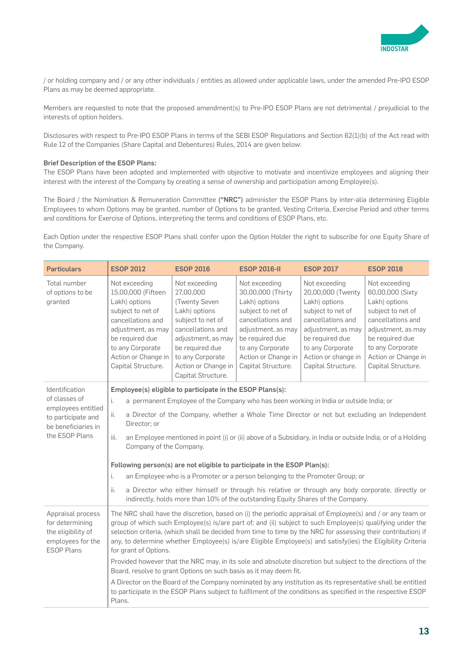

/ or holding company and / or any other individuals / entities as allowed under applicable laws, under the amended Pre-IPO ESOP Plans as may be deemed appropriate.

Members are requested to note that the proposed amendment(s) to Pre-IPO ESOP Plans are not detrimental / prejudicial to the interests of option holders.

Disclosures with respect to Pre-IPO ESOP Plans in terms of the SEBI ESOP Regulations and Section 62(1)(b) of the Act read with Rule 12 of the Companies (Share Capital and Debentures) Rules, 2014 are given below:

#### Brief Description of the ESOP Plans:

The ESOP Plans have been adopted and implemented with objective to motivate and incentivize employees and aligning their interest with the interest of the Company by creating a sense of ownership and participation among Employee(s).

The Board / the Nomination & Remuneration Committee ("NRC") administer the ESOP Plans by inter-alia determining Eligible Employees to whom Options may be granted, number of Options to be granted, Vesting Criteria, Exercise Period and other terms and conditions for Exercise of Options, interpreting the terms and conditions of ESOP Plans, etc.

Each Option under the respective ESOP Plans shall confer upon the Option Holder the right to subscribe for one Equity Share of the Company.

| <b>Particulars</b>                                                                                   | <b>ESOP 2012</b>                                                                                                                                                                                                                                                                                                                                                                                                                                                                 | <b>ESOP 2016</b>                                                                                                                                                                                                 | <b>ESOP 2016-II</b>                                                                                                                                                                                     | <b>ESOP 2017</b>                                                                                                                                                                                                            | <b>ESOP 2018</b>                                                                                                                                                                                       |
|------------------------------------------------------------------------------------------------------|----------------------------------------------------------------------------------------------------------------------------------------------------------------------------------------------------------------------------------------------------------------------------------------------------------------------------------------------------------------------------------------------------------------------------------------------------------------------------------|------------------------------------------------------------------------------------------------------------------------------------------------------------------------------------------------------------------|---------------------------------------------------------------------------------------------------------------------------------------------------------------------------------------------------------|-----------------------------------------------------------------------------------------------------------------------------------------------------------------------------------------------------------------------------|--------------------------------------------------------------------------------------------------------------------------------------------------------------------------------------------------------|
| Total number<br>of options to be<br>granted                                                          | Not exceeding<br>15,00,000 (Fifteen<br>Lakh) options<br>subject to net of<br>cancellations and<br>adjustment, as may<br>be required due<br>to any Corporate<br>Action or Change in<br>Capital Structure.                                                                                                                                                                                                                                                                         | Not exceeding<br>27,00,000<br>(Twenty Seven<br>Lakh) options<br>subject to net of<br>cancellations and<br>adjustment, as may<br>be required due<br>to any Corporate<br>Action or Change in<br>Capital Structure. | Not exceeding<br>30,00,000 (Thirty<br>Lakh) options<br>subject to net of<br>cancellations and<br>adjustment, as may<br>be required due<br>to any Corporate<br>Action or Change in<br>Capital Structure. | Not exceeding<br>20,00,000 (Twenty<br>Lakh) options<br>subject to net of<br>cancellations and<br>adjustment, as may<br>be required due<br>to any Corporate<br>Action or change in<br>Capital Structure.                     | Not exceeding<br>60,00,000 (Sixty<br>Lakh) options<br>subject to net of<br>cancellations and<br>adjustment, as may<br>be required due<br>to any Corporate<br>Action or Change in<br>Capital Structure. |
| Identification                                                                                       | Employee(s) eligible to participate in the ESOP Plans(s):                                                                                                                                                                                                                                                                                                                                                                                                                        |                                                                                                                                                                                                                  |                                                                                                                                                                                                         |                                                                                                                                                                                                                             |                                                                                                                                                                                                        |
| of classes of<br>employees entitled                                                                  | i.<br>a permanent Employee of the Company who has been working in India or outside India; or                                                                                                                                                                                                                                                                                                                                                                                     |                                                                                                                                                                                                                  |                                                                                                                                                                                                         |                                                                                                                                                                                                                             |                                                                                                                                                                                                        |
| to participate and<br>be beneficiaries in                                                            | a Director of the Company, whether a Whole Time Director or not but excluding an Independent<br>ii.<br>Director; or                                                                                                                                                                                                                                                                                                                                                              |                                                                                                                                                                                                                  |                                                                                                                                                                                                         |                                                                                                                                                                                                                             |                                                                                                                                                                                                        |
| the ESOP Plans                                                                                       | an Employee mentioned in point (i) or (ii) above of a Subsidiary, in India or outside India, or of a Holding<br>iii.<br>Company of the Company.                                                                                                                                                                                                                                                                                                                                  |                                                                                                                                                                                                                  |                                                                                                                                                                                                         |                                                                                                                                                                                                                             |                                                                                                                                                                                                        |
|                                                                                                      | Following person(s) are not eligible to participate in the ESOP Plan(s):                                                                                                                                                                                                                                                                                                                                                                                                         |                                                                                                                                                                                                                  |                                                                                                                                                                                                         |                                                                                                                                                                                                                             |                                                                                                                                                                                                        |
|                                                                                                      | an Employee who is a Promoter or a person belonging to the Promoter Group; or<br>i.                                                                                                                                                                                                                                                                                                                                                                                              |                                                                                                                                                                                                                  |                                                                                                                                                                                                         |                                                                                                                                                                                                                             |                                                                                                                                                                                                        |
|                                                                                                      | ii.<br>a Director who either himself or through his relative or through any body corporate, directly or<br>indirectly, holds more than 10% of the outstanding Equity Shares of the Company.                                                                                                                                                                                                                                                                                      |                                                                                                                                                                                                                  |                                                                                                                                                                                                         |                                                                                                                                                                                                                             |                                                                                                                                                                                                        |
| Appraisal process<br>for determining<br>the eligibility of<br>employees for the<br><b>ESOP Plans</b> | The NRC shall have the discretion, based on (i) the periodic appraisal of Employee(s) and / or any team or<br>group of which such Employee(s) is/are part of; and (ii) subject to such Employee(s) qualifying under the<br>selection criteria, (which shall be decided from time to time by the NRC for assessing their contribution) if<br>any, to determine whether Employee(s) is/are Eligible Employee(s) and satisfy(ies) the Eligibility Criteria<br>for grant of Options. |                                                                                                                                                                                                                  |                                                                                                                                                                                                         |                                                                                                                                                                                                                             |                                                                                                                                                                                                        |
|                                                                                                      | Provided however that the NRC may, in its sole and absolute discretion but subject to the directions of the<br>Board, resolve to grant Options on such basis as it may deem fit.                                                                                                                                                                                                                                                                                                 |                                                                                                                                                                                                                  |                                                                                                                                                                                                         |                                                                                                                                                                                                                             |                                                                                                                                                                                                        |
|                                                                                                      | Plans.                                                                                                                                                                                                                                                                                                                                                                                                                                                                           |                                                                                                                                                                                                                  |                                                                                                                                                                                                         | A Director on the Board of the Company nominated by any institution as its representative shall be entitled<br>to participate in the ESOP Plans subject to fulfilment of the conditions as specified in the respective ESOP |                                                                                                                                                                                                        |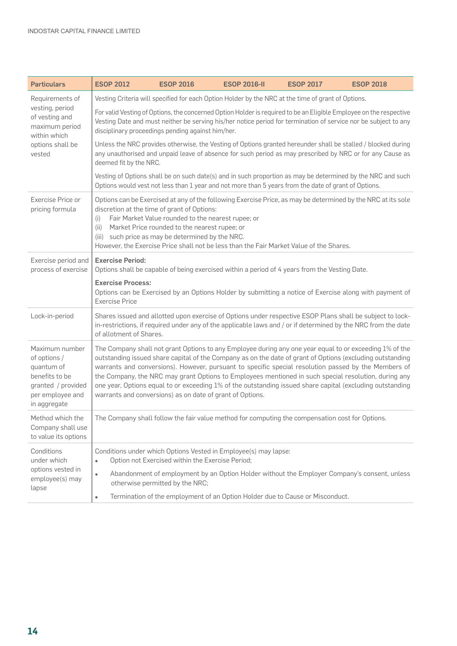| <b>Particulars</b>                                                                                                                                               | <b>ESOP 2012</b>                                                                                                                                                                                                                                                                                                                                                                                                                                                                                                                                                                                               | <b>ESOP 2016</b>                                 | <b>ESOP 2016-II</b>                                                                                  | <b>ESOP 2017</b> | <b>ESOP 2018</b>                                                                                                                                                                                                           |  |  |
|------------------------------------------------------------------------------------------------------------------------------------------------------------------|----------------------------------------------------------------------------------------------------------------------------------------------------------------------------------------------------------------------------------------------------------------------------------------------------------------------------------------------------------------------------------------------------------------------------------------------------------------------------------------------------------------------------------------------------------------------------------------------------------------|--------------------------------------------------|------------------------------------------------------------------------------------------------------|------------------|----------------------------------------------------------------------------------------------------------------------------------------------------------------------------------------------------------------------------|--|--|
| Requirements of                                                                                                                                                  | Vesting Criteria will specified for each Option Holder by the NRC at the time of grant of Options.                                                                                                                                                                                                                                                                                                                                                                                                                                                                                                             |                                                  |                                                                                                      |                  |                                                                                                                                                                                                                            |  |  |
| vesting, period<br>of vesting and<br>maximum period<br>within which                                                                                              | For valid Vesting of Options, the concerned Option Holder is required to be an Eligible Employee on the respective<br>Vesting Date and must neither be serving his/her notice period for termination of service nor be subject to any<br>disciplinary proceedings pending against him/her.                                                                                                                                                                                                                                                                                                                     |                                                  |                                                                                                      |                  |                                                                                                                                                                                                                            |  |  |
| options shall be<br>vested                                                                                                                                       | Unless the NRC provides otherwise, the Vesting of Options granted hereunder shall be stalled / blocked during<br>any unauthorised and unpaid leave of absence for such period as may prescribed by NRC or for any Cause as<br>deemed fit by the NRC.                                                                                                                                                                                                                                                                                                                                                           |                                                  |                                                                                                      |                  |                                                                                                                                                                                                                            |  |  |
|                                                                                                                                                                  |                                                                                                                                                                                                                                                                                                                                                                                                                                                                                                                                                                                                                |                                                  | Options would vest not less than 1 year and not more than 5 years from the date of grant of Options. |                  | Vesting of Options shall be on such date(s) and in such proportion as may be determined by the NRC and such                                                                                                                |  |  |
| Exercise Price or<br>pricing formula                                                                                                                             | Options can be Exercised at any of the following Exercise Price, as may be determined by the NRC at its sole<br>discretion at the time of grant of Options:<br>Fair Market Value rounded to the nearest rupee; or<br>(i)<br>Market Price rounded to the nearest rupee; or<br>(ii)<br>such price as may be determined by the NRC.<br>(iii)<br>However, the Exercise Price shall not be less than the Fair Market Value of the Shares.                                                                                                                                                                           |                                                  |                                                                                                      |                  |                                                                                                                                                                                                                            |  |  |
| Exercise period and<br>process of exercise                                                                                                                       | <b>Exercise Period:</b>                                                                                                                                                                                                                                                                                                                                                                                                                                                                                                                                                                                        |                                                  | Options shall be capable of being exercised within a period of 4 years from the Vesting Date.        |                  |                                                                                                                                                                                                                            |  |  |
|                                                                                                                                                                  | <b>Exercise Process:</b><br><b>Exercise Price</b>                                                                                                                                                                                                                                                                                                                                                                                                                                                                                                                                                              |                                                  |                                                                                                      |                  | Options can be Exercised by an Options Holder by submitting a notice of Exercise along with payment of                                                                                                                     |  |  |
| Lock-in-period                                                                                                                                                   | of allotment of Shares.                                                                                                                                                                                                                                                                                                                                                                                                                                                                                                                                                                                        |                                                  |                                                                                                      |                  | Shares issued and allotted upon exercise of Options under respective ESOP Plans shall be subject to lock-<br>in-restrictions, if required under any of the applicable laws and / or if determined by the NRC from the date |  |  |
| Maximum number<br>of options /<br>quantum of<br>benefits to be<br>granted / provided<br>per employee and<br>in aggregate                                         | The Company shall not grant Options to any Employee during any one year equal to or exceeding 1% of the<br>outstanding issued share capital of the Company as on the date of grant of Options (excluding outstanding<br>warrants and conversions). However, pursuant to specific special resolution passed by the Members of<br>the Company, the NRC may grant Options to Employees mentioned in such special resolution, during any<br>one year, Options equal to or exceeding 1% of the outstanding issued share capital (excluding outstanding<br>warrants and conversions) as on date of grant of Options. |                                                  |                                                                                                      |                  |                                                                                                                                                                                                                            |  |  |
| Method which the<br>The Company shall follow the fair value method for computing the compensation cost for Options.<br>Company shall use<br>to value its options |                                                                                                                                                                                                                                                                                                                                                                                                                                                                                                                                                                                                                |                                                  |                                                                                                      |                  |                                                                                                                                                                                                                            |  |  |
| Conditions<br>under which                                                                                                                                        | $\bullet$                                                                                                                                                                                                                                                                                                                                                                                                                                                                                                                                                                                                      | Option not Exercised within the Exercise Period; | Conditions under which Options Vested in Employee(s) may lapse:                                      |                  |                                                                                                                                                                                                                            |  |  |
| options vested in<br>employee(s) may<br>lapse                                                                                                                    | $\bullet$                                                                                                                                                                                                                                                                                                                                                                                                                                                                                                                                                                                                      | otherwise permitted by the NRC;                  |                                                                                                      |                  | Abandonment of employment by an Option Holder without the Employer Company's consent, unless                                                                                                                               |  |  |
|                                                                                                                                                                  | $\bullet$                                                                                                                                                                                                                                                                                                                                                                                                                                                                                                                                                                                                      |                                                  | Termination of the employment of an Option Holder due to Cause or Misconduct.                        |                  |                                                                                                                                                                                                                            |  |  |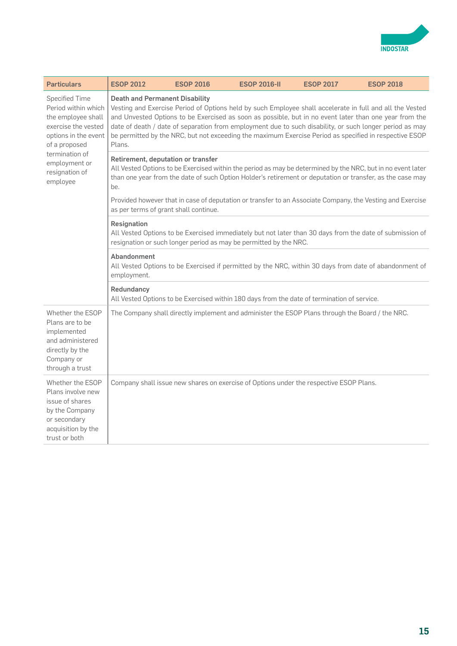

| <b>Particulars</b>                                                                                                                                                                                                            | <b>ESOP 2012</b>                                                                                                                                                                                                                                                                                                                                                                                                                                                                           | <b>ESOP 2016</b> | <b>ESOP 2016-II</b>                                                                                                                                                                                                      | <b>ESOP 2017</b> | <b>ESOP 2018</b> |  |
|-------------------------------------------------------------------------------------------------------------------------------------------------------------------------------------------------------------------------------|--------------------------------------------------------------------------------------------------------------------------------------------------------------------------------------------------------------------------------------------------------------------------------------------------------------------------------------------------------------------------------------------------------------------------------------------------------------------------------------------|------------------|--------------------------------------------------------------------------------------------------------------------------------------------------------------------------------------------------------------------------|------------------|------------------|--|
| <b>Specified Time</b><br>Period within which<br>the employee shall<br>exercise the vested<br>options in the event<br>of a proposed                                                                                            | <b>Death and Permanent Disability</b><br>Vesting and Exercise Period of Options held by such Employee shall accelerate in full and all the Vested<br>and Unvested Options to be Exercised as soon as possible, but in no event later than one year from the<br>date of death / date of separation from employment due to such disability, or such longer period as may<br>be permitted by the NRC, but not exceeding the maximum Exercise Period as specified in respective ESOP<br>Plans. |                  |                                                                                                                                                                                                                          |                  |                  |  |
| termination of<br>employment or<br>resignation of<br>employee                                                                                                                                                                 | Retirement, deputation or transfer<br>be.                                                                                                                                                                                                                                                                                                                                                                                                                                                  |                  | All Vested Options to be Exercised within the period as may be determined by the NRC, but in no event later<br>than one year from the date of such Option Holder's retirement or deputation or transfer, as the case may |                  |                  |  |
|                                                                                                                                                                                                                               | as per terms of grant shall continue.                                                                                                                                                                                                                                                                                                                                                                                                                                                      |                  | Provided however that in case of deputation or transfer to an Associate Company, the Vesting and Exercise                                                                                                                |                  |                  |  |
|                                                                                                                                                                                                                               | Resignation                                                                                                                                                                                                                                                                                                                                                                                                                                                                                |                  | All Vested Options to be Exercised immediately but not later than 30 days from the date of submission of<br>resignation or such longer period as may be permitted by the NRC.                                            |                  |                  |  |
|                                                                                                                                                                                                                               | Abandonment<br>employment.                                                                                                                                                                                                                                                                                                                                                                                                                                                                 |                  | All Vested Options to be Exercised if permitted by the NRC, within 30 days from date of abandonment of                                                                                                                   |                  |                  |  |
|                                                                                                                                                                                                                               | Redundancy                                                                                                                                                                                                                                                                                                                                                                                                                                                                                 |                  | All Vested Options to be Exercised within 180 days from the date of termination of service.                                                                                                                              |                  |                  |  |
| Whether the ESOP<br>The Company shall directly implement and administer the ESOP Plans through the Board / the NRC.<br>Plans are to be<br>implemented<br>and administered<br>directly by the<br>Company or<br>through a trust |                                                                                                                                                                                                                                                                                                                                                                                                                                                                                            |                  |                                                                                                                                                                                                                          |                  |                  |  |
| Whether the ESOP<br>Plans involve new<br>issue of shares<br>by the Company<br>or secondary<br>acquisition by the<br>trust or both                                                                                             |                                                                                                                                                                                                                                                                                                                                                                                                                                                                                            |                  | Company shall issue new shares on exercise of Options under the respective ESOP Plans.                                                                                                                                   |                  |                  |  |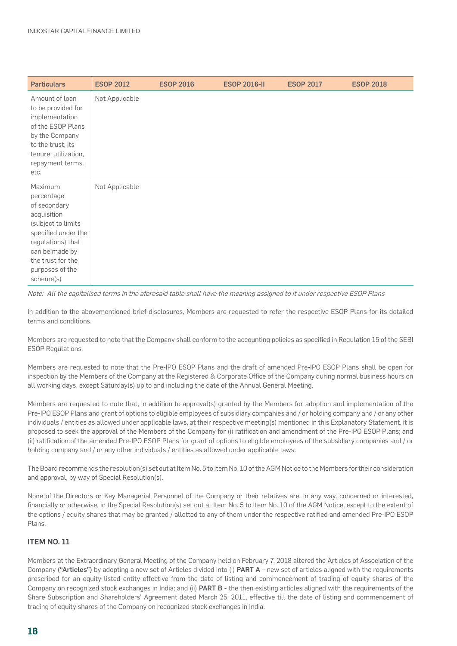| <b>Particulars</b>                                                                                                                                                                            | <b>ESOP 2012</b> | <b>ESOP 2016</b> | <b>ESOP 2016-II</b> | <b>ESOP 2017</b> | <b>ESOP 2018</b> |
|-----------------------------------------------------------------------------------------------------------------------------------------------------------------------------------------------|------------------|------------------|---------------------|------------------|------------------|
| Amount of loan<br>to be provided for<br>implementation<br>of the ESOP Plans<br>by the Company<br>to the trust, its<br>tenure, utilization,<br>repayment terms,<br>etc.                        | Not Applicable   |                  |                     |                  |                  |
| Maximum<br>percentage<br>of secondary<br>acquisition<br>(subject to limits<br>specified under the<br>regulations) that<br>can be made by<br>the trust for the<br>purposes of the<br>scheme(s) | Not Applicable   |                  |                     |                  |                  |

Note: All the capitalised terms in the aforesaid table shall have the meaning assigned to it under respective ESOP Plans

In addition to the abovementioned brief disclosures, Members are requested to refer the respective ESOP Plans for its detailed terms and conditions.

Members are requested to note that the Company shall conform to the accounting policies as specified in Regulation 15 of the SEBI ESOP Regulations.

Members are requested to note that the Pre-IPO ESOP Plans and the draft of amended Pre-IPO ESOP Plans shall be open for inspection by the Members of the Company at the Registered & Corporate Office of the Company during normal business hours on all working days, except Saturday(s) up to and including the date of the Annual General Meeting.

Members are requested to note that, in addition to approval(s) granted by the Members for adoption and implementation of the Pre-IPO ESOP Plans and grant of options to eligible employees of subsidiary companies and / or holding company and / or any other individuals / entities as allowed under applicable laws, at their respective meeting(s) mentioned in this Explanatory Statement, it is proposed to seek the approval of the Members of the Company for (i) ratification and amendment of the Pre-IPO ESOP Plans; and (ii) ratification of the amended Pre-IPO ESOP Plans for grant of options to eligible employees of the subsidiary companies and / or holding company and / or any other individuals / entities as allowed under applicable laws.

The Board recommends the resolution(s) set out at Item No. 5 to Item No. 10 of the AGM Notice to the Members for their consideration and approval, by way of Special Resolution(s).

None of the Directors or Key Managerial Personnel of the Company or their relatives are, in any way, concerned or interested, financially or otherwise, in the Special Resolution(s) set out at Item No. 5 to Item No. 10 of the AGM Notice, except to the extent of the options / equity shares that may be granted / allotted to any of them under the respective ratified and amended Pre-IPO ESOP Plans.

## ITEM NO. 11

Members at the Extraordinary General Meeting of the Company held on February 7, 2018 altered the Articles of Association of the Company ("Articles") by adopting a new set of Articles divided into (i) PART A – new set of articles aligned with the requirements prescribed for an equity listed entity effective from the date of listing and commencement of trading of equity shares of the Company on recognized stock exchanges in India; and (ii) PART B - the then existing articles aligned with the requirements of the Share Subscription and Shareholders' Agreement dated March 25, 2011, effective till the date of listing and commencement of trading of equity shares of the Company on recognized stock exchanges in India.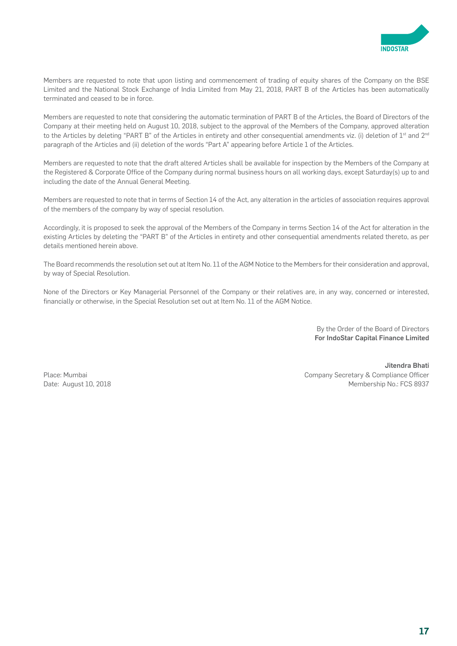

Members are requested to note that upon listing and commencement of trading of equity shares of the Company on the BSE Limited and the National Stock Exchange of India Limited from May 21, 2018, PART B of the Articles has been automatically terminated and ceased to be in force.

Members are requested to note that considering the automatic termination of PART B of the Articles, the Board of Directors of the Company at their meeting held on August 10, 2018, subject to the approval of the Members of the Company, approved alteration to the Articles by deleting "PART B" of the Articles in entirety and other consequential amendments viz. (i) deletion of  $1<sup>st</sup>$  and  $2<sup>nd</sup>$ paragraph of the Articles and (ii) deletion of the words "Part A" appearing before Article 1 of the Articles.

Members are requested to note that the draft altered Articles shall be available for inspection by the Members of the Company at the Registered & Corporate Office of the Company during normal business hours on all working days, except Saturday(s) up to and including the date of the Annual General Meeting.

Members are requested to note that in terms of Section 14 of the Act, any alteration in the articles of association requires approval of the members of the company by way of special resolution.

Accordingly, it is proposed to seek the approval of the Members of the Company in terms Section 14 of the Act for alteration in the existing Articles by deleting the "PART B" of the Articles in entirety and other consequential amendments related thereto, as per details mentioned herein above.

The Board recommends the resolution set out at Item No. 11 of the AGM Notice to the Members for their consideration and approval, by way of Special Resolution.

None of the Directors or Key Managerial Personnel of the Company or their relatives are, in any way, concerned or interested, financially or otherwise, in the Special Resolution set out at Item No. 11 of the AGM Notice.

> By the Order of the Board of Directors For IndoStar Capital Finance Limited

Jitendra Bhati Place: Mumbai Company Secretary & Compliance Officer Date: August 10, 2018 Membership No.: FCS 8937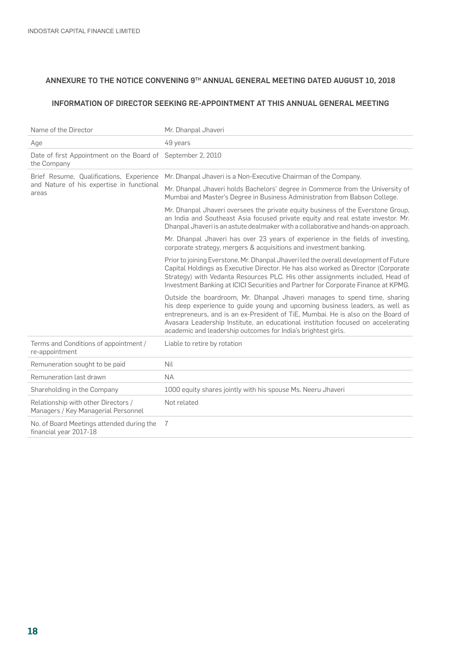# ANNEXURE TO THE NOTICE CONVENING 9TH ANNUAL GENERAL MEETING DATED AUGUST 10, 2018

## INFORMATION OF DIRECTOR SEEKING RE-APPOINTMENT AT THIS ANNUAL GENERAL MEETING

| Mr. Dhanpal Jhaveri                                                                                                                                                                                                                                                                                                                                                                                |  |  |  |
|----------------------------------------------------------------------------------------------------------------------------------------------------------------------------------------------------------------------------------------------------------------------------------------------------------------------------------------------------------------------------------------------------|--|--|--|
| 49 years                                                                                                                                                                                                                                                                                                                                                                                           |  |  |  |
| Date of first Appointment on the Board of<br>September 2, 2010                                                                                                                                                                                                                                                                                                                                     |  |  |  |
| Mr. Dhanpal Jhaveri is a Non-Executive Chairman of the Company.                                                                                                                                                                                                                                                                                                                                    |  |  |  |
| Mr. Dhanpal Jhaveri holds Bachelors' degree in Commerce from the University of<br>Mumbai and Master's Degree in Business Administration from Babson College.                                                                                                                                                                                                                                       |  |  |  |
| Mr. Dhanpal Jhaveri oversees the private equity business of the Everstone Group,<br>an India and Southeast Asia focused private equity and real estate investor. Mr.<br>Dhanpal Jhaveri is an astute dealmaker with a collaborative and hands-on approach.                                                                                                                                         |  |  |  |
| Mr. Dhanpal Jhaveri has over 23 years of experience in the fields of investing,<br>corporate strategy, mergers & acquisitions and investment banking.                                                                                                                                                                                                                                              |  |  |  |
| Prior to joining Everstone, Mr. Dhanpal Jhaveri led the overall development of Future<br>Capital Holdings as Executive Director. He has also worked as Director (Corporate<br>Strategy) with Vedanta Resources PLC. His other assignments included, Head of<br>Investment Banking at ICICI Securities and Partner for Corporate Finance at KPMG.                                                   |  |  |  |
| Outside the boardroom, Mr. Dhanpal Jhaveri manages to spend time, sharing<br>his deep experience to guide young and upcoming business leaders, as well as<br>entrepreneurs, and is an ex-President of TiE, Mumbai. He is also on the Board of<br>Avasara Leadership Institute, an educational institution focused on accelerating<br>academic and leadership outcomes for India's brightest girls. |  |  |  |
| Liable to retire by rotation                                                                                                                                                                                                                                                                                                                                                                       |  |  |  |
| <b>Nil</b>                                                                                                                                                                                                                                                                                                                                                                                         |  |  |  |
| <b>NA</b>                                                                                                                                                                                                                                                                                                                                                                                          |  |  |  |
| 1000 equity shares jointly with his spouse Ms. Neeru Jhaveri                                                                                                                                                                                                                                                                                                                                       |  |  |  |
| Not related                                                                                                                                                                                                                                                                                                                                                                                        |  |  |  |
| 7                                                                                                                                                                                                                                                                                                                                                                                                  |  |  |  |
|                                                                                                                                                                                                                                                                                                                                                                                                    |  |  |  |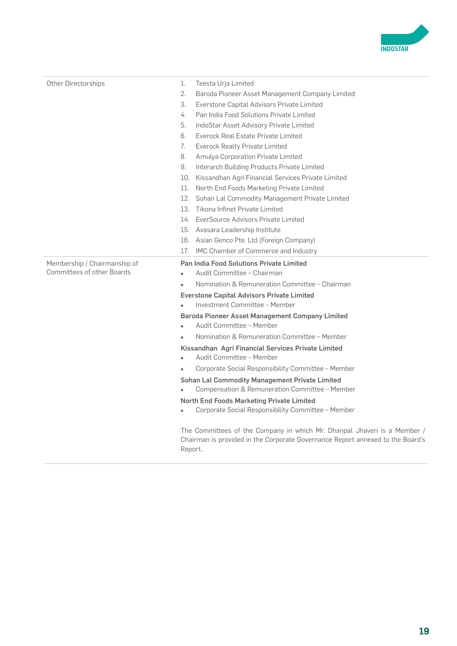

| Other Directorships               | Teesta Urja Limited<br>1.                                                                                                                                             |
|-----------------------------------|-----------------------------------------------------------------------------------------------------------------------------------------------------------------------|
|                                   | 2.<br>Baroda Pioneer Asset Management Company Limited                                                                                                                 |
|                                   | 3.<br>Everstone Capital Advisors Private Limited                                                                                                                      |
|                                   | Pan India Food Solutions Private Limited<br>4.                                                                                                                        |
|                                   | 5.<br>IndoStar Asset Advisory Private Limited                                                                                                                         |
|                                   | 6.<br>Everock Real Estate Private Limited                                                                                                                             |
|                                   | 7.<br>Everock Realty Private Limited                                                                                                                                  |
|                                   | Amulya Corporation Private Limited<br>8.                                                                                                                              |
|                                   | 9.<br>Interarch Building Products Private Limited                                                                                                                     |
|                                   | 10. Kissandhan Agri Financial Services Private Limited                                                                                                                |
|                                   | North End Foods Marketing Private Limited<br>11.                                                                                                                      |
|                                   | 12. Sohan Lal Commodity Management Private Limited                                                                                                                    |
|                                   | Tikona Infinet Private Limited<br>13.                                                                                                                                 |
|                                   | 14. EverSource Advisors Private Limited                                                                                                                               |
|                                   | 15. Avasara Leadership Institute                                                                                                                                      |
|                                   | 16. Asian Genco Pte. Ltd (Foreign Company)                                                                                                                            |
|                                   | IMC Chamber of Commerce and Industry<br>17.                                                                                                                           |
| Membership / Chairmanship of      | <b>Pan India Food Solutions Private Limited</b>                                                                                                                       |
| <b>Committees of other Boards</b> | Audit Committee - Chairman                                                                                                                                            |
|                                   | Nomination & Remuneration Committee - Chairman                                                                                                                        |
|                                   | <b>Everstone Capital Advisors Private Limited</b>                                                                                                                     |
|                                   | Investment Committee - Member                                                                                                                                         |
|                                   | <b>Baroda Pioneer Asset Management Company Limited</b>                                                                                                                |
|                                   | Audit Committee - Member                                                                                                                                              |
|                                   | Nomination & Remuneration Committee - Member                                                                                                                          |
|                                   | Kissandhan Agri Financial Services Private Limited<br>Audit Committee - Member<br>٠                                                                                   |
|                                   | Corporate Social Responsibility Committee - Member<br>$\bullet$                                                                                                       |
|                                   | <b>Sohan Lal Commodity Management Private Limited</b><br>Compensation & Remuneration Committee - Member                                                               |
|                                   | North End Foods Marketing Private Limited<br>Corporate Social Responsibility Committee - Member                                                                       |
|                                   | The Committees of the Company in which Mr. Dhanpal Jhaveri is a Member /<br>Chairman is provided in the Corporate Governance Report annexed to the Board's<br>Report. |